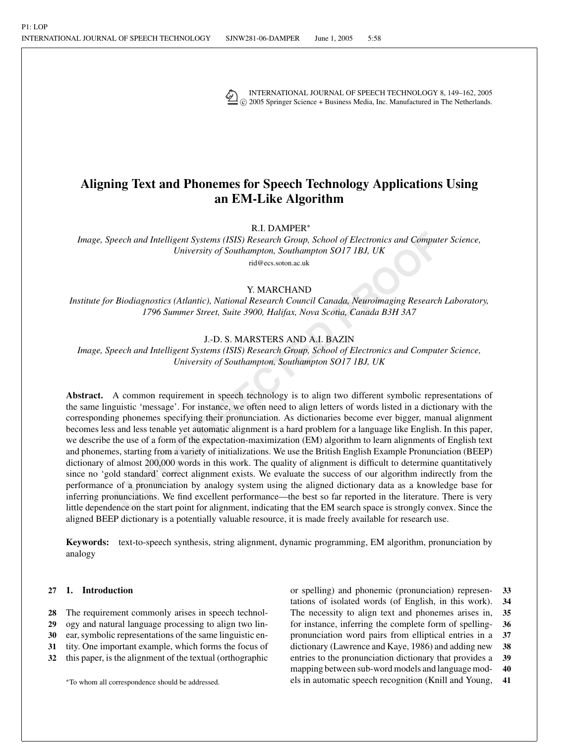INTERNATIONAL JOURNAL OF SPEECH TECHNOLOGY 8, 149–162, 2005 c 2005 Springer Science + Business Media, Inc. Manufactured in The Netherlands.

# **Aligning Text and Phonemes for Speech Technology Applications Using an EM-Like Algorithm**

R.I. DAMPER<sup>∗</sup>

*Image, Speech and Intelligent Systems (ISIS) Research Group, School of Electronics and Computer Science, University of Southampton, Southampton SO17 1BJ, UK* rid@ecs.soton.ac.uk

# Y. MARCHAND

*Institute for Biodiagnostics (Atlantic), National Research Council Canada, Neuroimaging Research Laboratory, 1796 Summer Street, Suite 3900, Halifax, Nova Scotia, Canada B3H 3A7*

## J.-D. S. MARSTERS AND A.I. BAZIN

*Image, Speech and Intelligent Systems (ISIS) Research Group, School of Electronics and Computer Science, University of Southampton, Southampton SO17 1BJ, UK*

**Example 10 University of Southampton, School of Electronics and Compute**<br>
University of Southampton, Southampton SO17 IBJ, UK<br>
indeees.soton.ac.uk<br>
TV. MARCHAND<br>
Fideoes.soton.ac.uk<br>
Fideoes.soton.ac.uk<br>
Fideoes.soton.a Abstract. A common requirement in speech technology is to align two different symbolic representations of the same linguistic 'message'. For instance, we often need to align letters of words listed in a dictionary with the corresponding phonemes specifying their pronunciation. As dictionaries become ever bigger, manual alignment becomes less and less tenable yet automatic alignment is a hard problem for a language like English. In this paper, we describe the use of a form of the expectation-maximization (EM) algorithm to learn alignments of English text and phonemes, starting from a variety of initializations. We use the British English Example Pronunciation (BEEP) dictionary of almost 200,000 words in this work. The quality of alignment is difficult to determine quantitatively since no 'gold standard' correct alignment exists. We evaluate the success of our algorithm indirectly from the performance of a pronunciation by analogy system using the aligned dictionary data as a knowledge base for inferring pronunciations. We find excellent performance—the best so far reported in the literature. There is very little dependence on the start point for alignment, indicating that the EM search space is strongly convex. Since the aligned BEEP dictionary is a potentially valuable resource, it is made freely available for research use.

**Keywords:** text-to-speech synthesis, string alignment, dynamic programming, EM algorithm, pronunciation by analogy

## **27 1. Introduction**

**28** The requirement commonly arises in speech technol-**29** ogy and natural language processing to align two lin-**30** ear, symbolic representations of the same linguistic en-

**31** tity. One important example, which forms the focus of

**32** this paper, is the alignment of the textual (orthographic

∗To whom all correspondence should be addressed.

or spelling) and phonemic (pronunciation) represen- **33** tations of isolated words (of English, in this work). **34** The necessity to align text and phonemes arises in, **35** for instance, inferring the complete form of spelling- **36** pronunciation word pairs from elliptical entries in a **37** dictionary (Lawrence and Kaye, 1986) and adding new **38** entries to the pronunciation dictionary that provides a **39** mapping between sub-word models and language mod- **40** els in automatic speech recognition (Knill and Young, **41**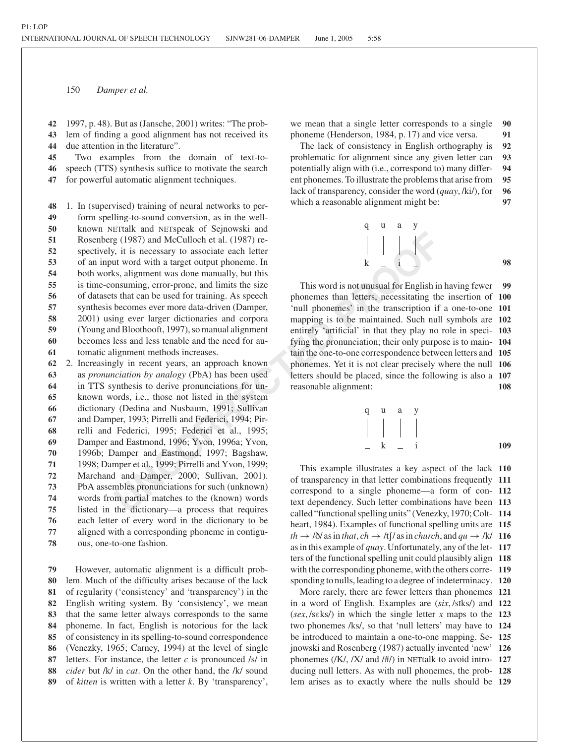**42** 1997, p. 48). But as (Jansche, 2001) writes: "The prob-**43** lem of finding a good alignment has not received its

**44** due attention in the literature".

**45** Two examples from the domain of text-to-**46** speech (TTS) synthesis suffice to motivate the search **47** for powerful automatic alignment techniques.

 1. In (supervised) training of neural networks to per- form spelling-to-sound conversion, as in the well- known NETtalk and NETspeak of Sejnowski and Rosenberg (1987) and McCulloch et al. (1987) re- spectively, it is necessary to associate each letter of an input word with a target output phoneme. In both works, alignment was done manually, but this is time-consuming, error-prone, and limits the size of datasets that can be used for training. As speech synthesis becomes ever more data-driven (Damper, 2001) using ever larger dictionaries and corpora (Young and Bloothooft, 1997), so manual alignment becomes less and less tenable and the need for au-tomatic alignment methods increases.

**Example 1.1** and Motel and Nusbaum, 1991; Sullivan<br>
and HocCulloch et al. (1987) re-<br>
(1987) and McCulloch et al. (1987) re-<br>
(1987) and McCulloch et al. (1987) re-<br>
(1987) and McCulloch et al. (1987) re-<br>
(1987) and McC 2. Increasingly in recent years, an approach known as *pronunciation by analogy* (PbA) has been used in TTS synthesis to derive pronunciations for un- known words, i.e., those not listed in the system dictionary (Dedina and Nusbaum, 1991; Sullivan and Damper, 1993; Pirrelli and Federici, 1994; Pir- relli and Federici, 1995; Federici et al., 1995; Damper and Eastmond, 1996; Yvon, 1996a; Yvon, 1996b; Damper and Eastmond, 1997; Bagshaw, 1998; Damper et al., 1999; Pirrelli and Yvon, 1999; Marchand and Damper, 2000; Sullivan, 2001). PbA assembles pronunciations for such (unknown) words from partial matches to the (known) words listed in the dictionary—a process that requires each letter of every word in the dictionary to be aligned with a corresponding phoneme in contigu-ous, one-to-one fashion.

 However, automatic alignment is a difficult prob- lem. Much of the difficulty arises because of the lack of regularity ('consistency' and 'transparency') in the English writing system. By 'consistency', we mean that the same letter always corresponds to the same phoneme. In fact, English is notorious for the lack of consistency in its spelling-to-sound correspondence (Venezky, 1965; Carney, 1994) at the level of single letters. For instance, the letter *c* is pronounced /s/ in *cider* but /k/ in *cat*. On the other hand, the /k/ sound of *kitten* is written with a letter *k*. By 'transparency',

we mean that a single letter corresponds to a single **90** phoneme (Henderson, 1984, p. 17) and vice versa. **91**

The lack of consistency in English orthography is **92** problematic for alignment since any given letter can **93** potentially align with (i.e., correspond to) many differ- **94** ent phonemes. To illustrate the problems that arise from **95** lack of transparency, consider the word (*quay*, /ki/), for **96** which a reasonable alignment might be: **97**



This word is not unusual for English in having fewer **99** phonemes than letters, necessitating the insertion of **100** 'null phonemes' in the transcription if a one-to-one **101** mapping is to be maintained. Such null symbols are **102** entirely 'artificial' in that they play no role in speci- **103** fying the pronunciation; their only purpose is to main- **104** tain the one-to-one correspondence between letters and **105** phonemes. Yet it is not clear precisely where the null **106** letters should be placed, since the following is also a **107** reasonable alignment: **108**

$$
\begin{array}{c|c}\nq & u & a & y \\
\downarrow & \downarrow & \downarrow \\
\hline\n\end{array}
$$

This example illustrates a key aspect of the lack **110** of transparency in that letter combinations frequently **111** correspond to a single phoneme—a form of con- **112** text dependency. Such letter combinations have been **113** called "functional spelling units" (Venezky, 1970; Colt- **114** heart, 1984). Examples of functional spelling units are **115**  $th \rightarrow \sqrt{5}/$  as in *that*,  $ch \rightarrow \sqrt{5}/$  as in *church*, and  $qu \rightarrow \sqrt{k}/$  116 as in this example of *quay*. Unfortunately, any of the let- **117** ters of the functional spelling unit could plausibly align **118** with the corresponding phoneme, with the others corre- **119** sponding to nulls, leading to a degree of indeterminacy. **120**

More rarely, there are fewer letters than phonemes **121** in a word of English. Examples are (*six*, /sIks/) and **122** (*sex*, /sεks/) in which the single letter *x* maps to the **123** two phonemes /ks/, so that 'null letters' may have to **124** be introduced to maintain a one-to-one mapping. Se- **125** jnowski and Rosenberg (1987) actually invented 'new' **126** phonemes (/K/, /X/ and /#/) in NETtalk to avoid intro- **127** ducing null letters. As with null phonemes, the prob- **128** lem arises as to exactly where the nulls should be **129**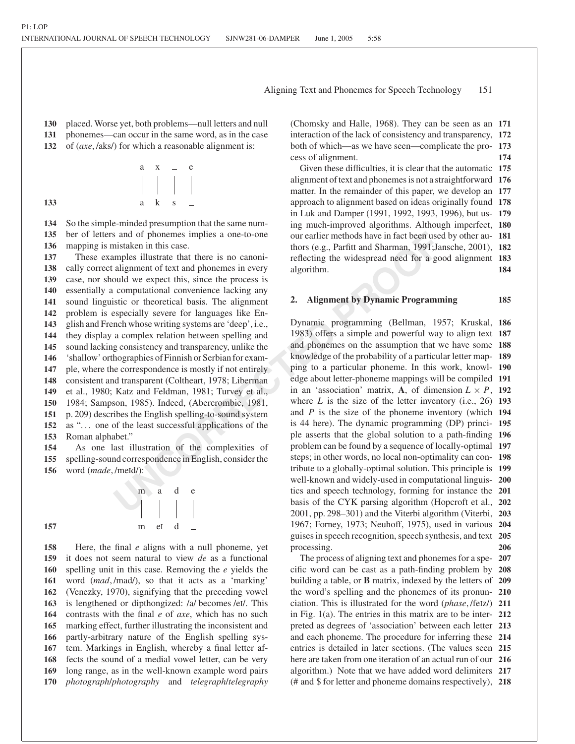**130** placed. Worse yet, both problems—null letters and null **131** phonemes—can occur in the same word, as in the case

**132** of (*axe*, /aks/) for which a reasonable alignment is:



**134** So the simple-minded presumption that the same num-

**135** ber of letters and of phonemes implies a one-to-one

**136** mapping is mistaken in this case.

singlies a one-to-one<br>
instance in pissons.<br>
instance in this case.<br>
imples illustrate that there is no canoni-<br>
instance in the correction terestic instance that there is no canoni-<br>
instance the process is<br>
under the pro These examples illustrate that there is no canoni- cally correct alignment of text and phonemes in every case, nor should we expect this, since the process is essentially a computational convenience lacking any sound linguistic or theoretical basis. The alignment problem is especially severe for languages like En- glish and French whose writing systems are 'deep', i.e., they display a complex relation between spelling and sound lacking consistency and transparency, unlike the 'shallow' orthographies of Finnish or Serbian for exam- ple, where the correspondence is mostly if not entirely consistent and transparent (Coltheart, 1978; Liberman et al., 1980; Katz and Feldman, 1981; Turvey et al., 1984; Sampson, 1985). Indeed, (Abercrombie, 1981, p. 209) describes the English spelling-to-sound system 152 as "... one of the least successful applications of the Roman alphabet."

**154** As one last illustration of the complexities of **155** spelling-sound correspondence in English, consider the **156** word (*made*, /meId/):



 Here, the final *e* aligns with a null phoneme, yet it does not seem natural to view *de* as a functional spelling unit in this case. Removing the *e* yields the word (*mad*, /mad/), so that it acts as a 'marking' (Venezky, 1970), signifying that the preceding vowel is lengthened or dipthongized: /a/ becomes /eI/. This contrasts with the final *e* of *axe*, which has no such marking effect, further illustrating the inconsistent and partly-arbitrary nature of the English spelling sys- tem. Markings in English, whereby a final letter af- fects the sound of a medial vowel letter, can be very long range, as in the well-known example word pairs *photograph*/*photography* and *telegraph*/*telegraphy* (Chomsky and Halle, 1968). They can be seen as an **171** interaction of the lack of consistency and transparency, **172** both of which—as we have seen—complicate the pro- **173** cess of alignment. **174**

Given these difficulties, it is clear that the automatic **175** alignment of text and phonemes is not a straightforward **176** matter. In the remainder of this paper, we develop an **177** approach to alignment based on ideas originally found **178** in Luk and Damper (1991, 1992, 1993, 1996), but us- **179** ing much-improved algorithms. Although imperfect, **180** our earlier methods have in fact been used by other au- **181** thors (e.g., Parfitt and Sharman, 1991;Jansche, 2001), **182** reflecting the widespread need for a good alignment **183** algorithm. **184**

#### **2. Alignment by Dynamic Programming 185**

Dynamic programming (Bellman, 1957; Kruskal, **186** 1983) offers a simple and powerful way to align text **187** and phonemes on the assumption that we have some **188** knowledge of the probability of a particular letter map- **189** ping to a particular phoneme. In this work, knowl- **190** edge about letter-phoneme mappings will be compiled **191** in an 'association' matrix, A, of dimension  $L \times P$ , 192 where *L* is the size of the letter inventory (i.e., 26) **193** and *P* is the size of the phoneme inventory (which **194** is 44 here). The dynamic programming (DP) princi- **195** ple asserts that the global solution to a path-finding **196** problem can be found by a sequence of locally-optimal **197** steps; in other words, no local non-optimality can con- **198** tribute to a globally-optimal solution. This principle is **199** well-known and widely-used in computational linguis- **200** tics and speech technology, forming for instance the **201** basis of the CYK parsing algorithm (Hopcroft et al., **202** 2001, pp. 298–301) and the Viterbi algorithm (Viterbi, **203** 1967; Forney, 1973; Neuhoff, 1975), used in various **204** guises in speech recognition, speech synthesis, and text **205** processing. **206**

The process of aligning text and phonemes for a spe- **207** cific word can be cast as a path-finding problem by **208** building a table, or **B** matrix, indexed by the letters of **209** the word's spelling and the phonemes of its pronun- **210** ciation. This is illustrated for the word (*phase*, /feIz/) **211** in Fig. 1(a). The entries in this matrix are to be inter- **212** preted as degrees of 'association' between each letter **213** and each phoneme. The procedure for inferring these **214** entries is detailed in later sections. (The values seen **215** here are taken from one iteration of an actual run of our **216** algorithm.) Note that we have added word delimiters **217** (# and \$ for letter and phoneme domains respectively), **218**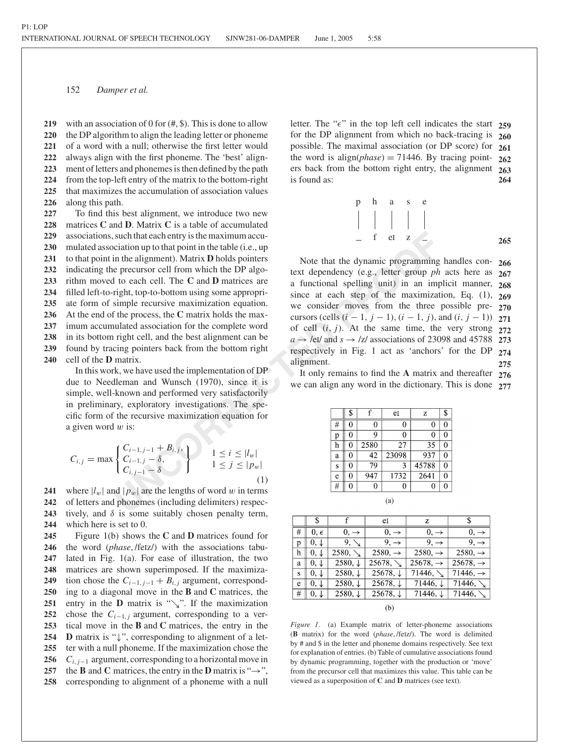with an association of 0 for (#, \$). This is done to allow the DP algorithm to align the leading letter or phoneme of a word with a null; otherwise the first letter would always align with the first phoneme. The 'best' align- ment of letters and phonemes is then defined by the path from the top-left entry of the matrix to the bottom-right that maximizes the accumulation of association values along this path.

such that each entry is the maximum accurection<br>
in the alignment). Matrix **D** holds pointers<br>
in the alignment). Matrix **D** holds pointers<br> **IVENT CORP and D** matrics are denoted by the particular population<br> **IVENT CORP**  To find this best alignment, we introduce two new matrices **C** and **D**. Matrix **C** is a table of accumulated associations, such that each entry is the maximum accu- mulated association up to that point in the table (i.e., up to that point in the alignment). Matrix **D** holds pointers indicating the precursor cell from which the DP algo- rithm moved to each cell. The **C** and **D** matrices are filled left-to-right, top-to-bottom using some appropri- ate form of simple recursive maximization equation. At the end of the process, the **C** matrix holds the max- imum accumulated association for the complete word in its bottom right cell, and the best alignment can be found by tracing pointers back from the bottom right cell of the **D** matrix.

In this work, we have used the implementation of DP due to Needleman and Wunsch (1970), since it is simple, well-known and performed very satisfactorily in preliminary, exploratory investigations. The specific form of the recursive maximization equation for a given word  $w$  is:

$$
C_{i,j} = \max \begin{Bmatrix} C_{i-1,j-1} + B_{i,j}, \\ C_{i-1,j} - \delta, \\ C_{i,j-1} - \delta \end{Bmatrix} \qquad \begin{aligned} 1 &\leq i \leq |l_w| \\ 1 &\leq j \leq |p_w| \\ 1 &\leq j \end{aligned} \qquad (1)
$$

 where  $|l_w|$  and  $|p_w|$  are the lengths of word w in terms 242 of letters and phonemes (including delimiters) respec- of letters and phonemes (including delimiters) respec- tively, and  $\delta$  is some suitably chosen penalty term, which here is set to 0.

 Figure 1(b) shows the **C** and **D** matrices found for the word (*phase*, /feIz/) with the associations tabu- lated in Fig. 1(a). For ease of illustration, the two matrices are shown superimposed. If the maximiza- tion chose the  $C_{i-1,j-1} + B_{i,j}$  argument, correspond-<br>**250** ing to a diagonal move in the **B** and **C** matrices, the ing to a diagonal move in the **B** and **C** matrices, the entry in the **D** matrix is " $\searrow$ ". If the maximization **252** chose the  $C_{i-1}$  *i* argument, corresponding to a ver- chose the  $C_{i-1,j}$  argument, corresponding to a ver-<br>**253** tical move in the **B** and **C** matrices, the entry in the tical move in the **B** and **C** matrices, the entry in the **D** matrix is " $\downarrow$ ", corresponding to alignment of a let-<br>**255** ter with a null phoneme. If the maximization chose the ter with a null phoneme. If the maximization chose the *C*<sub>*i*</sub>,  $j$ −1 argument, corresponding to a horizontal move in the **D** matrix is "→", the **B** and **C** matrices, the entry in the **D** matrix is " $\rightarrow$ ", **258** corresponding to alignment of a phoneme with a null corresponding to alignment of a phoneme with a null letter. The " $\epsilon$ " in the top left cell indicates the start  $259$ for the DP alignment from which no back-tracing is **260** possible. The maximal association (or DP score) for **261** the word is align( $phase$ ) = 71446. By tracing point-  $262$ ers back from the bottom right entry, the alignment **263** is found as: **264**

p h a s e  
\n
$$
\begin{array}{c|c|c|c|c|c} & b & a & b & c \\ \hline & b & b & c & d \\ \hline & & c & d & d \end{array}
$$

Note that the dynamic programming handles con- **266** text dependency (e.g., letter group *ph* acts here as **267** a functional spelling unit) in an implicit manner, **268** since at each step of the maximization, Eq. (1), **269** we consider moves from the three possible pre- **270** cursors (cells  $(i - 1, j - 1)$ ,  $(i - 1, j)$ , and  $(i, j - 1)$ ) **271** of cell (*i*, *j*). At the same time, the very strong **272**  $a \rightarrow$  /eI/ and  $s \rightarrow$  /z/ associations of 23098 and 45788 **273** respectively in Fig. 1 act as 'anchors' for the DP **274** alignment. **275**

It only remains to find the **A** matrix and thereafter **276** we can align any word in the dictionary. This is done **277**

|   | \$<br>f | eI    | z     | \$ |
|---|---------|-------|-------|----|
| # | 0       |       |       | 0  |
| р | 9       |       | 0     | 0  |
| h | 2580    | 27    | 35    | 0  |
| a | 42      | 23098 | 937   | 0  |
| S | 79      | 3     | 45788 | 0  |
| e | 947     | 1732  | 2641  | 0  |
| # | 0       |       | 0     | 0  |

|   |                 |                    | eI                  | Z.                  |                     |
|---|-----------------|--------------------|---------------------|---------------------|---------------------|
| # | $0.\epsilon$    | $0, \rightarrow$   | $0, \rightarrow$    | $0, \rightarrow$    | $0, \rightarrow$    |
| р | $0, \downarrow$ | $9, \searrow$      | $9 \rightarrow$     | $9 \rightarrow$     | $9 \rightarrow$     |
| h | $0, \downarrow$ | $2580, \searrow$   | $2580 \rightarrow$  | $2580 \rightarrow$  | $2580 \rightarrow$  |
| a | $0, \downarrow$ | $2580, \downarrow$ | 25678.              | $25678 \rightarrow$ | $25678 \rightarrow$ |
| s | $0, \downarrow$ | $2580, \downarrow$ | $25678. \downarrow$ | $71446, \searrow$   | $71446 \rightarrow$ |
| e | $0, \downarrow$ | $2580, \downarrow$ | $25678. \downarrow$ | 71446, $\downarrow$ | $71446, \searrow$   |
| # | $0, \downarrow$ | $2580, \downarrow$ | $25678, \downarrow$ | 71446. J            | $71446, \searrow$   |
|   |                 |                    | (b                  |                     |                     |

*Figure 1*. (a) Example matrix of letter-phoneme associations (**B** matrix) for the word (*phase*, /feIz/). The word is delimited by # and \$ in the letter and phoneme domains respectively. See text for explanation of entries. (b) Table of cumulative associations found by dynamic programming, together with the production or 'move' from the precursor cell that maximizes this value. This table can be viewed as a superposition of **C** and **D** matrices (see text).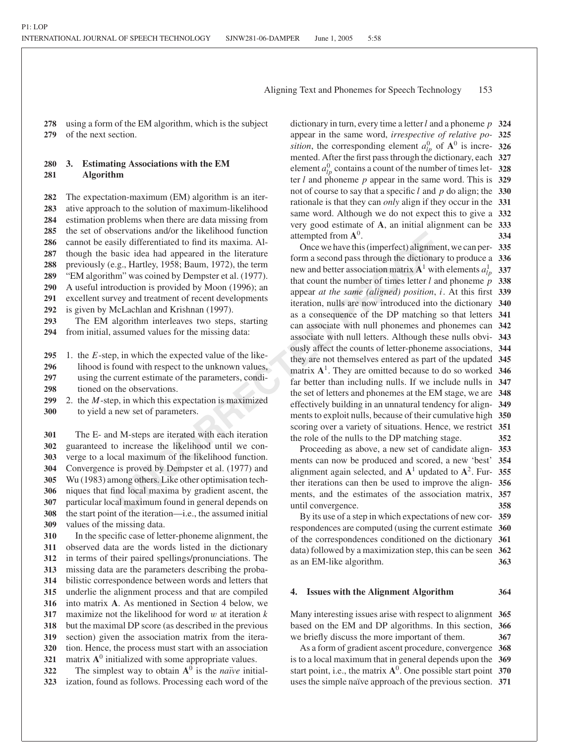Aligning Text and Phonemes for Speech Technology 153

**278** using a form of the EM algorithm, which is the subject **279** of the next section.

## **280 3. Estimating Associations with the EM 281 Algorithm**

 The expectation-maximum (EM) algorithm is an iter- ative approach to the solution of maximum-likelihood estimation problems when there are data missing from the set of observations and/or the likelihood function cannot be easily differentiated to find its maxima. Al- though the basic idea had appeared in the literature previously (e.g., Hartley, 1958; Baum, 1972), the term "EM algorithm" was coined by Dempster et al. (1977). A useful introduction is provided by Moon (1996); an excellent survey and treatment of recent developments is given by McLachlan and Krishnan (1997).

- **293** The EM algorithm interleaves two steps, starting **294** from initial, assumed values for the missing data:
- **295** 1. the *E*-step, in which the expected value of the like-**296** lihood is found with respect to the unknown values, **297** using the current estimate of the parameters, condi-**298** tioned on the observations.
- **299** 2. the *M*-step, in which this expectation is maximized **300** to yield a new set of parameters.

 The E- and M-steps are iterated with each iteration guaranteed to increase the likelihood until we con- verge to a local maximum of the likelihood function. Convergence is proved by Dempster et al. (1977) and Wu (1983) among others. Like other optimisation tech- niques that find local maxima by gradient ascent, the particular local maximum found in general depends on the start point of the iteration—i.e., the assumed initial values of the missing data.

 In the specific case of letter-phoneme alignment, the observed data are the words listed in the dictionary in terms of their paired spellings/pronunciations. The missing data are the parameters describing the proba- bilistic correspondence between words and letters that underlie the alignment process and that are compiled into matrix **A**. As mentioned in Section 4 below, we maximize not the likelihood for word w at iteration *k* but the maximal DP score (as described in the previous section) given the association matrix from the itera- tion. Hence, the process must start with an association 321 matrix  $A^0$  initialized with some appropriate values.

The simplest way to obtain  $A^0$  is the *naïve* initial-**323** ization, found as follows. Processing each word of the dictionary in turn, every time a letter*l* and a phoneme *p* **324** appear in the same word, *irrespective of relative po-* **325** *sition*, the corresponding element  $a_{lp}^0$  of  $A^0$  is incre- 326 mented. After the first pass through the dictionary, each **327** element  $a_{lp}^0$  contains a count of the number of times let- **328** ter *l* and phoneme *p* appear in the same word. This is **329** not of course to say that a specific *l* and *p* do align; the **330** rationale is that they can *only* align if they occur in the **331** same word. Although we do not expect this to give a **332** very good estimate of **A**, an initial alignment can be **333** attempted from **A**0. **334**

**Examples the sum of the method of the interpered from A<sup>0</sup>.**<br> **UNCORE SET ANOTE AND ANOTE AND ANOTE AND ANOTE THE SET A FACT AND ANOTE THE SET A FACT AND A REFORMATION THE AND ANOTHOLOGY THAND ANOTHOLOGY AND CONDUCTION i** Once we have this (imperfect) alignment, we can per- **335** form a second pass through the dictionary to produce a **336** new and better association matrix  $A^1$  with elements  $a_{lp}^1$  337 that count the number of times letter *l* and phoneme *p* **338** appear *at the same (aligned) position*, *i*. At this first **339** iteration, nulls are now introduced into the dictionary **340** as a consequence of the DP matching so that letters **341** can associate with null phonemes and phonemes can **342** associate with null letters. Although these nulls obvi- **343** ously affect the counts of letter-phoneme associations, **344** they are not themselves entered as part of the updated **345** matrix **A**1. They are omitted because to do so worked **346** far better than including nulls. If we include nulls in **347** the set of letters and phonemes at the EM stage, we are **348** effectively building in an unnatural tendency for align- **349** ments to exploit nulls, because of their cumulative high **350** scoring over a variety of situations. Hence, we restrict **351** the role of the nulls to the DP matching stage. **352**

Proceeding as above, a new set of candidate align- **353** ments can now be produced and scored, a new 'best' **354** alignment again selected, and  $A<sup>1</sup>$  updated to  $A<sup>2</sup>$ . Fur- 355 ther iterations can then be used to improve the align- **356** ments, and the estimates of the association matrix, **357** until convergence. **358**

By its use of a step in which expectations of new cor- **359** respondences are computed (using the current estimate **360** of the correspondences conditioned on the dictionary **361** data) followed by a maximization step, this can be seen **362** as an EM-like algorithm. **363**

#### **4. Issues with the Alignment Algorithm 364**

Many interesting issues arise with respect to alignment **365** based on the EM and DP algorithms. In this section, **366** we briefly discuss the more important of them. **367**

As a form of gradient ascent procedure, convergence **368** is to a local maximum that in general depends upon the **369** start point, i.e., the matrix  $A^0$ . One possible start point **370** uses the simple na¨ıve approach of the previous section. **371**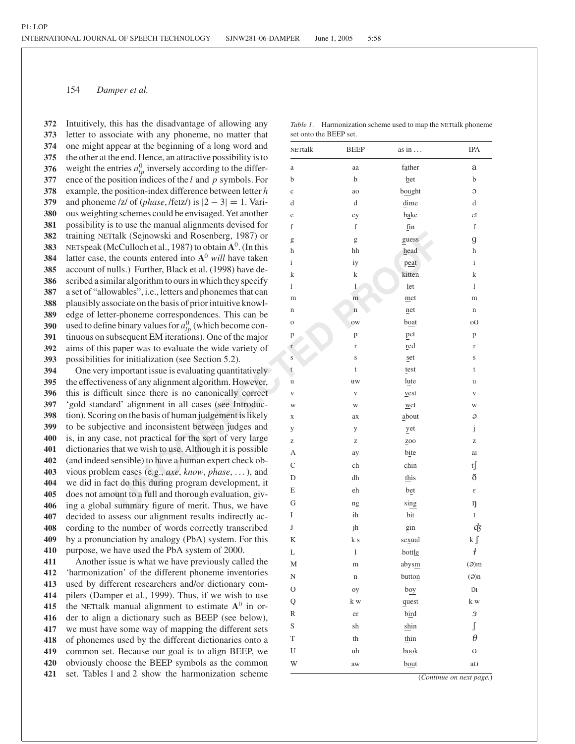Intuitively, this has the disadvantage of allowing any letter to associate with any phoneme, no matter that one might appear at the beginning of a long word and the other at the end. Hence, an attractive possibility is to 376 weight the entries  $a_{lp}^0$  inversely according to the differ- ence of the position indices of the *l* and *p* symbols. For example, the position-index difference between letter *h* and phoneme /z/ of (*phase*, /feIz/) is  $|2 - 3| = 1$ . Vari-<br>**380** ous weighting schemes could be envisaged. Yet another ous weighting schemes could be envisaged. Yet another possibility is to use the manual alignments devised for training NETtalk (Sejnowski and Rosenberg, 1987) or 383 NETspeak (McCulloch et al., 1987) to obtain  $A^0$ . (In this latter case, the counts entered into  $A^0$  *will* have taken account of nulls.) Further, Black et al. (1998) have de- scribed a similar algorithm to ours in which they specify a set of "allowables", i.e., letters and phonemes that can plausibly associate on the basis of prior intuitive knowl- edge of letter-phoneme correspondences. This can be used to define binary values for  $a_{lp}^0$  (which become con- tinuous on subsequent EM iterations). One of the major aims of this paper was to evaluate the wide variety of possibilities for initialization (see Section 5.2).

 One very important issue is evaluating quantitatively the effectiveness of any alignment algorithm. However, this is difficult since there is no canonically correct 'gold standard' alignment in all cases (see Introduc- tion). Scoring on the basis of human judgement is likely to be subjective and inconsistent between judges and is, in any case, not practical for the sort of very large dictionaries that we wish to use. Although it is possible (and indeed sensible) to have a human expert check ob- vious problem cases (e.g., *axe*, *know*, *phase*,... ), and we did in fact do this during program development, it does not amount to a full and thorough evaluation, giv- ing a global summary figure of merit. Thus, we have decided to assess our alignment results indirectly ac- cording to the number of words correctly transcribed by a pronunciation by analogy (PbA) system. For this purpose, we have used the PbA system of 2000.

 Another issue is what we have previously called the 'harmonization' of the different phoneme inventories used by different researchers and/or dictionary com- pilers (Damper et al., 1999). Thus, if we wish to use the NETtalk manual alignment to estimate  $A^0$  in or- der to align a dictionary such as BEEP (see below), we must have some way of mapping the different sets of phonemes used by the different dictionaries onto a common set. Because our goal is to align BEEP, we obviously choose the BEEP symbols as the common set. Tables 1 and 2 show the harmonization scheme

| ppear at the beginning of a folig word and                                              | NETtalk      | <b>BEEP</b>                                                                                                                                                                                                                                                                                                                                                                                                                    | as in $\dots$       | <b>IPA</b>                 |
|-----------------------------------------------------------------------------------------|--------------|--------------------------------------------------------------------------------------------------------------------------------------------------------------------------------------------------------------------------------------------------------------------------------------------------------------------------------------------------------------------------------------------------------------------------------|---------------------|----------------------------|
| ne end. Hence, an attractive possibility is to                                          |              |                                                                                                                                                                                                                                                                                                                                                                                                                                |                     |                            |
| ntries $a_{1p}^0$ inversely according to the differ-                                    | $\mathbf a$  | aa                                                                                                                                                                                                                                                                                                                                                                                                                             | father              | a                          |
| osition indices of the $l$ and $p$ symbols. For                                         | b            | b                                                                                                                                                                                                                                                                                                                                                                                                                              | bet                 | b                          |
| position-index difference between letter $h$                                            | $\rm _c$     | ao                                                                                                                                                                                                                                                                                                                                                                                                                             | bought              | $\circ$                    |
| $ z $ of ( <i>phase</i> , /feIz/) is $ 2 - 3  = 1$ . Vari-                              | $\mathbf d$  | d                                                                                                                                                                                                                                                                                                                                                                                                                              | $\underline{dim}$ e | d                          |
| g schemes could be envisaged. Yet another                                               | e            | ey                                                                                                                                                                                                                                                                                                                                                                                                                             | bake                | eI                         |
| to use the manual alignments devised for                                                | $\mathbf f$  | $\mathbf f$                                                                                                                                                                                                                                                                                                                                                                                                                    | fin                 | f                          |
| talk (Sejnowski and Rosenberg, 1987) or                                                 | g            | $\mathbf{g}% _{T}=\mathbf{g}_{T}=\mathbf{g}_{T}=\mathbf{g}_{T}=\mathbf{g}_{T}=\mathbf{g}_{T}=\mathbf{g}_{T}=\mathbf{g}_{T}=\mathbf{g}_{T}=\mathbf{g}_{T}=\mathbf{g}_{T}=\mathbf{g}_{T}=\mathbf{g}_{T}=\mathbf{g}_{T}=\mathbf{g}_{T}=\mathbf{g}_{T}=\mathbf{g}_{T}=\mathbf{g}_{T}=\mathbf{g}_{T}=\mathbf{g}_{T}=\mathbf{g}_{T}=\mathbf{g}_{T}=\mathbf{g}_{T}=\mathbf{g}_{T}=\mathbf{g}_{T}=\mathbf{g}_{T}=\mathbf{g}_{T}=\math$ | guess               | $\boldsymbol{g}$           |
| IcCulloch et al., 1987) to obtain $A^0$ . (In this                                      | h            | hh                                                                                                                                                                                                                                                                                                                                                                                                                             | head                | h                          |
| he counts entered into $A^0$ will have taken                                            | $\mathbf{i}$ | iy                                                                                                                                                                                                                                                                                                                                                                                                                             | peat                | $\mathbf{i}$               |
| alls.) Further, Black et al. (1998) have de-                                            | $\mathbf k$  | $\mathbf k$                                                                                                                                                                                                                                                                                                                                                                                                                    | kitten              | $\bf k$                    |
| ilar algorithm to ours in which they specify                                            | $\mathbf{1}$ | 1                                                                                                                                                                                                                                                                                                                                                                                                                              | let                 | $\mathbf{1}$               |
| wables", i.e., letters and phonemes that can                                            | m            | m                                                                                                                                                                                                                                                                                                                                                                                                                              | $m$ et              | m                          |
| ociate on the basis of prior intuitive knowl-                                           | $\mathbf n$  | $\mathbf n$                                                                                                                                                                                                                                                                                                                                                                                                                    | net                 | $\mathbf n$                |
| r-phoneme correspondences. This can be                                                  | $\rm{O}$     | <b>OW</b>                                                                                                                                                                                                                                                                                                                                                                                                                      | boat                | οU                         |
| e binary values for $a_{1p}^0$ (which become con-                                       | p            | p                                                                                                                                                                                                                                                                                                                                                                                                                              | pet                 | p                          |
| bsequent EM iterations). One of the major                                               | $\mathbf r$  | $\mathbf r$                                                                                                                                                                                                                                                                                                                                                                                                                    | red                 | r                          |
| paper was to evaluate the wide variety of                                               | S            | $\mathbf S$                                                                                                                                                                                                                                                                                                                                                                                                                    | set                 | S                          |
| for initialization (see Section 5.2).                                                   |              | t                                                                                                                                                                                                                                                                                                                                                                                                                              |                     |                            |
| mportant issue is evaluating quantitatively                                             | t            |                                                                                                                                                                                                                                                                                                                                                                                                                                | test                | t                          |
| ness of any alignment algorithm. However,                                               | u            | uw                                                                                                                                                                                                                                                                                                                                                                                                                             | lute                | u                          |
| ult since there is no canonically correct                                               | $\mathbf V$  | $\mathbf V$                                                                                                                                                                                                                                                                                                                                                                                                                    | vest                | $\mathbf V$                |
| rd' alignment in all cases (see Introduc-                                               | W            | W                                                                                                                                                                                                                                                                                                                                                                                                                              | wet                 | W                          |
| g on the basis of human judgement is likely                                             | $\mathbf X$  | ax                                                                                                                                                                                                                                                                                                                                                                                                                             | about               | ә                          |
| tive and inconsistent between judges and                                                | y            | $\mathbf y$                                                                                                                                                                                                                                                                                                                                                                                                                    | yet                 | j                          |
| se, not practical for the sort of very large                                            | Z            | Z                                                                                                                                                                                                                                                                                                                                                                                                                              | Z00                 | Z                          |
| that we wish to use. Although it is possible                                            | А            | аy                                                                                                                                                                                                                                                                                                                                                                                                                             | bite                | aI                         |
| sensible) to have a human expert check ob-                                              | $\mathsf C$  | ch                                                                                                                                                                                                                                                                                                                                                                                                                             | chin                | t∫                         |
| m cases (e.g., axe, know, phase, ), and                                                 | $\mathbf D$  | dh                                                                                                                                                                                                                                                                                                                                                                                                                             | this                | ð                          |
| et do this during program development, it                                               | Ε            | eh                                                                                                                                                                                                                                                                                                                                                                                                                             | bet                 | $\boldsymbol{\varepsilon}$ |
| bunt to a full and thorough evaluation, giv-                                            | G            | ng                                                                                                                                                                                                                                                                                                                                                                                                                             | sing                | ŋ                          |
| summary figure of merit. Thus, we have                                                  | Ι            | ih                                                                                                                                                                                                                                                                                                                                                                                                                             | bit                 |                            |
| ssess our alignment results indirectly ac-                                              | J            |                                                                                                                                                                                                                                                                                                                                                                                                                                |                     |                            |
| he number of words correctly transcribed                                                |              | jh                                                                                                                                                                                                                                                                                                                                                                                                                             | gin                 | ф                          |
| ciation by analogy (PbA) system. For this                                               | K            | k s                                                                                                                                                                                                                                                                                                                                                                                                                            | sexual              | k∫                         |
| have used the PbA system of 2000.                                                       | L            | 1                                                                                                                                                                                                                                                                                                                                                                                                                              | bottle              | $\boldsymbol{t}$           |
| sue is what we have previously called the<br>on' of the different phoneme inventories   | М            | m                                                                                                                                                                                                                                                                                                                                                                                                                              | abysm               | $\Theta$ m                 |
|                                                                                         | N            | n                                                                                                                                                                                                                                                                                                                                                                                                                              | button              | $(2)$ n                    |
| erent researchers and/or dictionary com-                                                | О            | oy                                                                                                                                                                                                                                                                                                                                                                                                                             | boy                 | D <sub>I</sub>             |
| ber et al., 1999). Thus, if we wish to use<br>manual alignment to estimate $A^0$ in or- | Q            | k w                                                                                                                                                                                                                                                                                                                                                                                                                            | quest               | k w                        |
|                                                                                         | R            | er                                                                                                                                                                                                                                                                                                                                                                                                                             | bird                | З                          |
| a dictionary such as BEEP (see below),                                                  | S            | sh                                                                                                                                                                                                                                                                                                                                                                                                                             | shin                | ſ                          |
| e some way of mapping the different sets                                                | T            | th                                                                                                                                                                                                                                                                                                                                                                                                                             | thin                | $\theta$                   |
| s used by the different dictionaries onto a                                             |              |                                                                                                                                                                                                                                                                                                                                                                                                                                |                     |                            |
| . Because our goal is to align BEEP, we                                                 | ${\bf U}$    | uh                                                                                                                                                                                                                                                                                                                                                                                                                             | book                | U                          |
| noose the BEEP symbols as the common                                                    | W            | aw                                                                                                                                                                                                                                                                                                                                                                                                                             | bout                | aU                         |

*Table 1*. Harmonization scheme used to map the NETtalk phoneme set onto the BEEP set.

(*Continue on next page.*)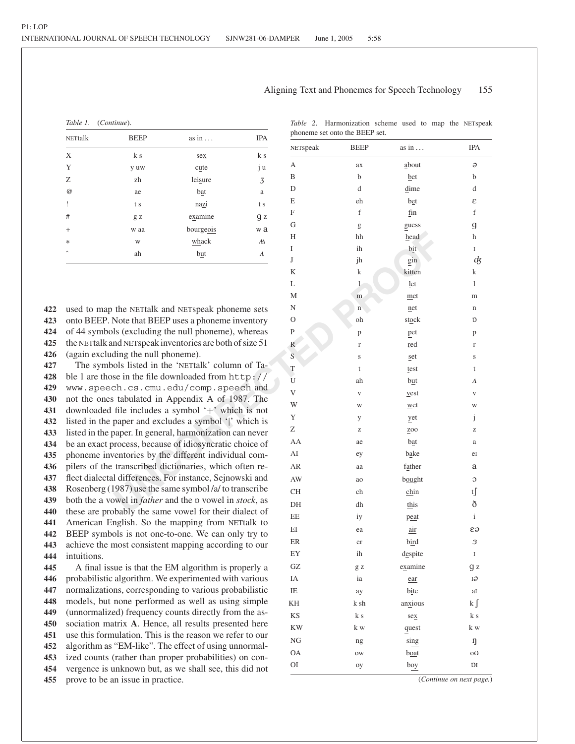| $1000 \cdot 1.$     |             |               |                            |
|---------------------|-------------|---------------|----------------------------|
| <b>NETtalk</b>      | <b>BEEP</b> | as in $\dots$ | <b>IPA</b>                 |
| X                   | k s         | sex           | k s                        |
| Y                   | y uw        | cute          | j u                        |
| Ζ                   | zh          | leisure       | 3                          |
| $\omega$            | ae          | bat           | $\mathbf{a}$               |
| Ţ                   | t s         | nazi          | t s                        |
| #                   | gZ          | examine       | q z                        |
| $^{+}$              | w aa        | bourgeois     | w a                        |
| $*$                 | W           | whack         | $\boldsymbol{\mathcal{M}}$ |
| $\hat{\phantom{a}}$ | ah          | but           | $\Lambda$                  |

*Table 1*. (*Continue*).

Aligning Text and Phonemes for Speech Technology 155

|  | Table 2. Harmonization scheme used to map the NETspeak |  |  |  |
|--|--------------------------------------------------------|--|--|--|
|  | phoneme set onto the BEEP set.                         |  |  |  |

 used to map the NETtalk and NETspeak phoneme sets onto BEEP. Note that BEEP uses a phoneme inventory of 44 symbols (excluding the null phoneme), whereas the NETtalk and NETspeak inventories are both of size 51 (again excluding the null phoneme).

 The symbols listed in the 'NETtalk' column of Ta- ble 1 are those in the file downloaded from http:// www.speech.cs.cmu.edu/comp.speech and not the ones tabulated in Appendix A of 1987. The downloaded file includes a symbol  $+$ <sup>2</sup> which is not **432** listed in the paper and excludes a symbol  $\cdot$ <sup>1</sup> which is listed in the paper and excludes a symbol '|' which is **433** listed in the paper. In general, harmonization can never listed in the paper. In general, harmonization can never be an exact process, because of idiosyncratic choice of phoneme inventories by the different individual com- pilers of the transcribed dictionaries, which often re- flect dialectal differences. For instance, Sejnowski and Rosenberg (1987) use the same symbol /a/ to transcribe both the a vowel in *father* and the p vowel in *stock*, as these are probably the same vowel for their dialect of American English. So the mapping from NETtalk to BEEP symbols is not one-to-one. We can only try to achieve the most consistent mapping according to our intuitions. A final issue is that the EM algorithm is properly a

 probabilistic algorithm. We experimented with various normalizations, corresponding to various probabilistic models, but none performed as well as using simple (unnormalized) frequency counts directly from the as- sociation matrix **A**. Hence, all results presented here use this formulation. This is the reason we refer to our algorithm as "EM-like". The effect of using unnormal- ized counts (rather than proper probabilities) on con- vergence is unknown but, as we shall see, this did not prove to be an issue in practice.

|                         |                                                                                        |            | NETspeak                  | <b>BEEP</b>  | as in $\dots$      | <b>IPA</b>    |
|-------------------------|----------------------------------------------------------------------------------------|------------|---------------------------|--------------|--------------------|---------------|
| k s                     | sex<br>$c$ ute                                                                         | k s<br>j u | А                         | ax           | about              | $\Theta$      |
| y uw<br>zh              | leisure                                                                                |            | B                         | b            | bet                | b             |
|                         |                                                                                        | 3          | D                         | d            | dime               | d             |
| ae                      | bat                                                                                    | a          | E                         | eh           | bet                | ε             |
| t s                     | nazi                                                                                   | t s        | F                         | f            | fin                | f             |
| g z                     | examine                                                                                | g z        | ${\bf G}$                 | g            | guess              | $\mathfrak g$ |
| w aa                    | bourgeois                                                                              | w a        | Η                         | hh           | head               | h             |
| W                       | whack                                                                                  | M          | I                         | ih           | bit                | I             |
| ah                      | $bu$ t                                                                                 | $\Lambda$  | J                         | jh           | gin                | ф             |
|                         |                                                                                        |            | K                         | k            | kitten             | k             |
|                         |                                                                                        |            | L                         | 1            | let                | 1             |
|                         |                                                                                        |            | $\mathbf M$               | $\, {\rm m}$ | $m$ et             | m             |
|                         | the NETtalk and NETspeak phoneme sets                                                  |            | N                         | $n_{\rm{}}$  | net                | n             |
|                         | Note that BEEP uses a phoneme inventory                                                |            | О                         | oh           | stock              | D             |
|                         | ls (excluding the null phoneme), whereas                                               |            | ${\bf P}$                 | p            | pet                | p             |
|                         | nd NETspeak inventories are both of size 51                                            |            | R                         | $\Gamma$     | red                | $\Gamma$      |
| ding the null phoneme). |                                                                                        |            | ${\bf S}$                 | $\bf S$      | set                | S             |
|                         | ols listed in the 'NETtalk' column of Ta-                                              |            | T                         | t            | test               | t             |
|                         | se in the file downloaded from http://                                                 |            | U                         | ah           | $but$              | Λ             |
|                         | ch.cs.cmu.edu/comp.speech and                                                          |            | $\ensuremath{\mathbf{V}}$ | $\mathbf{V}$ | yest               | V             |
|                         | tabulated in Appendix A of 1987. The                                                   |            | W                         | W            | wet                | W             |
|                         | file includes a symbol ' $+$ ' which is not                                            |            | Y                         | y            | yet                | Ĵ             |
|                         | paper and excludes a symbol ' ' which is<br>paper. In general, harmonization can never |            | Ζ                         | Z            | 200                | z             |
|                         | process, because of idiosyncratic choice of                                            |            | AA                        | ae           | <b>b</b> at        | a             |
|                         | entories by the different individual com-                                              |            | AI                        | ey           | bake               | eI            |
|                         | transcribed dictionaries, which often re-                                              |            | ${\sf AR}$                | aa           | father             | a             |
|                         | I differences. For instance, Sejnowski and                                             |            | AW                        | ao           | bought             | $\circ$       |
|                         | 1987) use the same symbol /a/ to transcribe                                            |            | CH                        | ch           | chin               | t∫            |
|                         | owel in <i>father</i> and the <i>p</i> vowel in <i>stock</i> , as                      |            | $\rm{DH}$                 | dh           | $\underline{this}$ | ð             |
|                         | bably the same vowel for their dialect of                                              |            | $\rm EE$                  | iy           | peat               | $\mathbf{i}$  |
|                         | nglish. So the mapping from NETtalk to                                                 |            | EI                        | ea           | air                | εэ            |
|                         | ols is not one-to-one. We can only try to                                              |            | $\rm ER$                  | er           | bird               | З             |
|                         | most consistent mapping according to our                                               |            | EY                        | ih           | despite            | I             |
|                         | ue is that the EM algorithm is properly a                                              |            | GZ                        | g z          | examine            | g z           |
|                         | algorithm. We experimented with various                                                |            | IΑ                        | ia           | ear                | IƏ            |
|                         | ns, corresponding to various probabilistic                                             |            | IE                        | ay           | bite               | aI            |
|                         | none performed as well as using simple                                                 |            | KH                        | k sh         | anxious            | k∫            |
|                         | ed) frequency counts directly from the as-                                             |            | KS                        | k s          |                    | k s           |
|                         | trix A. Hence, all results presented here                                              |            | $\mathbf{K}\mathbf{W}$    | k w          | sex                | k w           |
|                         | ulation. This is the reason we refer to our                                            |            | ${\rm NG}$                |              | quest              |               |
|                         | "EM-like". The effect of using unnormal-                                               |            | <b>OA</b>                 | ng           | sing               | ŋ             |
|                         | (rather than proper probabilities) on con-                                             |            |                           | <b>OW</b>    | boat               | οU            |
|                         | unknown but, as we shall see, this did not                                             |            | O                         | oy           | boy                | DI            |

(*Continue on next page.*)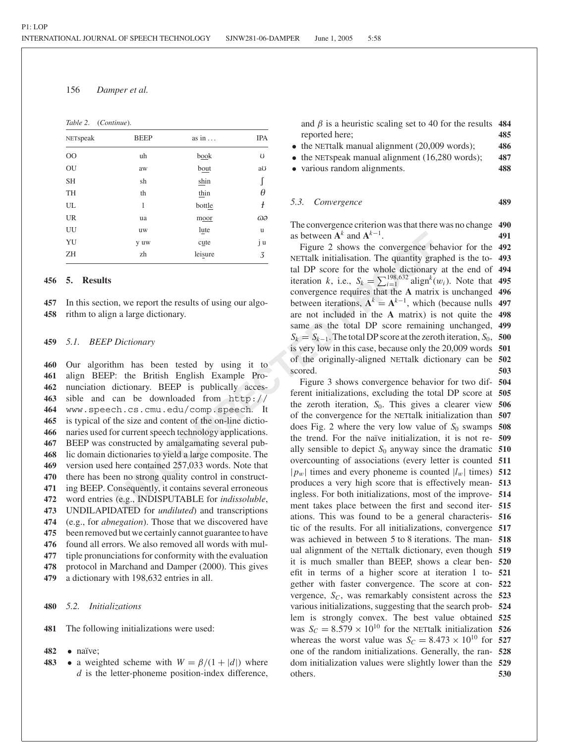*Table 2*. (*Continue*).

| NETspeak  | <b>BEEP</b> | $\sin \dots$ | <b>IPA</b> |
|-----------|-------------|--------------|------------|
| 00        | uh          | book         | U          |
| OU        | aw          | bout         | aU         |
| <b>SH</b> | sh          | shin         | ſ          |
| <b>TH</b> | th          | thin         | θ          |
| UL        | 1           | bottle       | ł          |
| <b>UR</b> | ua          | moor         | $\omega$   |
| UU        | uw          | lute         | u          |
| YU        | y uw        | cute         | j u        |
| ΖH        | zh          | leisure      | 3          |

### **456 5. Results**

**457** In this section, we report the results of using our algo-**458** rithm to align a large dictionary.

#### **459** *5.1. BEEP Dictionary*

**EXAMPLE 1.** The substrate of the content of the original and the search of the search of the search of the search of the search of the search of the search of the search of the search of the search of the search of the s Our algorithm has been tested by using it to align BEEP: the British English Example Pro- nunciation dictionary. BEEP is publically acces- sible and can be downloaded from http:// www.speech.cs.cmu.edu/comp.speech. It is typical of the size and content of the on-line dictio- naries used for current speech technology applications. BEEP was constructed by amalgamating several pub- lic domain dictionaries to yield a large composite. The version used here contained 257,033 words. Note that there has been no strong quality control in construct- ing BEEP. Consequently, it contains several erroneous word entries (e.g., INDISPUTABLE for *indissoluble*, UNDILAPIDATED for *undiluted*) and transcriptions (e.g., for *abnegation*). Those that we discovered have been removed but we certainly cannot guarantee to have found all errors. We also removed all words with mul- tiple pronunciations for conformity with the evaluation protocol in Marchand and Damper (2000). This gives a dictionary with 198,632 entries in all.

**480** *5.2. Initializations*

**481** The following initializations were used:

- **482** naïve;<br>**483** a wei
	- a weighted scheme with  $W = \beta/(1 + |d|)$  where *d* is the letter-phoneme position-index difference,

and  $\beta$  is a heuristic scaling set to 40 for the results **484** reported here; **485** • the NETtalk manual alignment (20,009 words); **<sup>486</sup>**

- the NETspeak manual alignment (16,280 words); **487**<br>• various random alignments **488**
- various random alignments.

#### *5.3. Convergence* **489**

The convergence criterion was that there was no change **490** as between  $A^k$  and  $A^{k-1}$ . **491** 

Figure 2 shows the convergence behavior for the **492** NETtalk initialisation. The quantity graphed is the to- **493** tal DP score for the whole dictionary at the end of **494** iteration *k*, i.e.,  $S_k = \sum_{i=1}^{198,632} \text{align}^k(w_i)$ . Note that **495** convergence requires that the **A** matrix is unchanged **496** between iterations,  $A^k = A^{k-1}$ , which (because nulls **497** are not included in the **A** matrix) is not quite the **498** same as the total DP score remaining unchanged, **499**  $S_k = S_{k-1}$ . The total DP score at the zeroth iteration,  $S_0$ , **500** is very low in this case, because only the 20,009 words **501** of the originally-aligned NETtalk dictionary can be **502** scored. **503**

Figure 3 shows convergence behavior for two dif- **504** ferent initializations, excluding the total DP score at **505** the zeroth iteration, *S*0. This gives a clearer view **506** of the convergence for the NETtalk initialization than **507** does Fig. 2 where the very low value of  $S_0$  swamps **508** the trend. For the na¨ıve initialization, it is not re- **509** ally sensible to depict  $S_0$  anyway since the dramatic  $510$ overcounting of associations (every letter is counted **511**  $|p_w|$  times and every phoneme is counted  $|l_w|$  times) **512** produces a very high score that is effectively mean- **513** ingless. For both initializations, most of the improve- **514** ment takes place between the first and second iter- **515** ations. This was found to be a general characteris- **516** tic of the results. For all initializations, convergence **517** was achieved in between 5 to 8 iterations. The man- **518** ual alignment of the NETtalk dictionary, even though **519** it is much smaller than BEEP, shows a clear ben- **520** efit in terms of a higher score at iteration 1 to- **521** gether with faster convergence. The score at con- **522** vergence,  $S_C$ , was remarkably consistent across the  $523$ various initializations, suggesting that the search prob- **524** lem is strongly convex. The best value obtained **525** was  $S_C = 8.579 \times 10^{10}$  for the NETtalk initialization 526 whereas the worst value was  $S_C = 8.473 \times 10^{10}$  for 527 one of the random initializations. Generally, the ran- **528** dom initialization values were slightly lower than the **529** others. **530**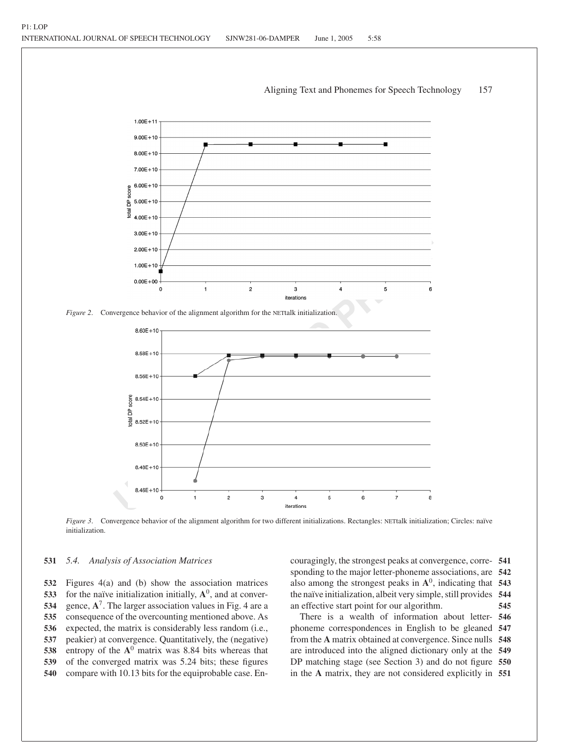

#### Aligning Text and Phonemes for Speech Technology 157





*Figure 3.* Convergence behavior of the alignment algorithm for two different initializations. Rectangles: NETtalk initialization; Circles: naïve initialization.

#### **531** *5.4. Analysis of Association Matrices*

 Figures 4(a) and (b) show the association matrices for the naïve initialization initially,  $A^0$ , and at conver-534 gence,  $A^7$ . The larger association values in Fig. 4 are a consequence of the overcounting mentioned above. As expected, the matrix is considerably less random (i.e., peakier) at convergence. Quantitatively, the (negative) 538 entropy of the  $A^0$  matrix was 8.84 bits whereas that of the converged matrix was 5.24 bits; these figures compare with 10.13 bits for the equiprobable case. Encouragingly, the strongest peaks at convergence, corre- **541** sponding to the major letter-phoneme associations, are **542** also among the strongest peaks in **A**0, indicating that **543** the na¨ıve initialization, albeit very simple, still provides **544** an effective start point for our algorithm. **545**

There is a wealth of information about letter- **546** phoneme correspondences in English to be gleaned **547** from the **A** matrix obtained at convergence. Since nulls **548** are introduced into the aligned dictionary only at the **549** DP matching stage (see Section 3) and do not figure **550** in the **A** matrix, they are not considered explicitly in **551**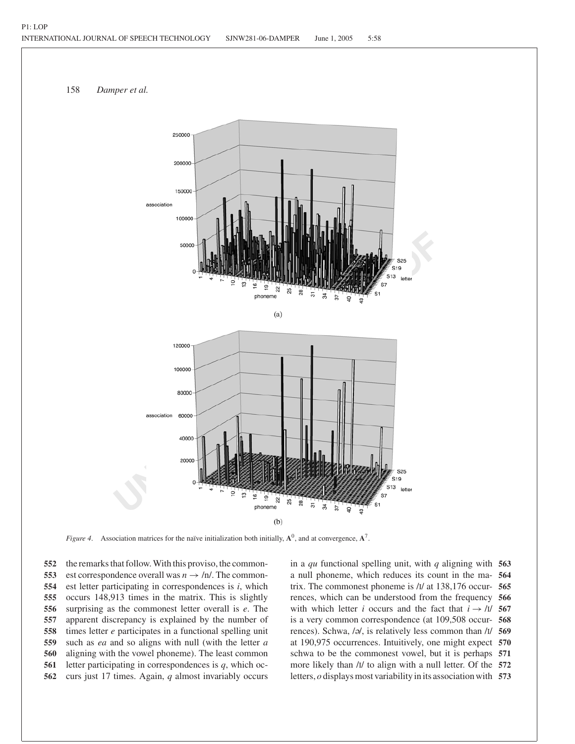

*Figure 4.* Association matrices for the naïve initialization both initially,  $A^0$ , and at convergence,  $A^7$ .

 the remarks that follow. With this proviso, the common- est correspondence overall was  $n \rightarrow \ln$ . The common-<br>**554** est letter participating in correspondences is *i*, which est letter participating in correspondences is  $i$ , which occurs 148,913 times in the matrix. This is slightly surprising as the commonest letter overall is *e*. The apparent discrepancy is explained by the number of times letter *e* participates in a functional spelling unit such as *ea* and so aligns with null (with the letter *a* aligning with the vowel phoneme). The least common letter participating in correspondences is *q*, which oc-curs just 17 times. Again, *q* almost invariably occurs

in a *qu* functional spelling unit, with *q* aligning with **563** a null phoneme, which reduces its count in the ma- **564** trix. The commonest phoneme is /I/ at 138,176 occur- **565** rences, which can be understood from the frequency **566** with which letter *i* occurs and the fact that  $i \rightarrow \frac{11}{567}$ is a very common correspondence (at 109,508 occur- **568** rences). Schwa, /ə/, is relatively less common than /I/ **569** at 190,975 occurrences. Intuitively, one might expect **570** schwa to be the commonest vowel, but it is perhaps **571** more likely than /I/ to align with a null letter. Of the **572** letters, *o* displays most variability in its association with **573**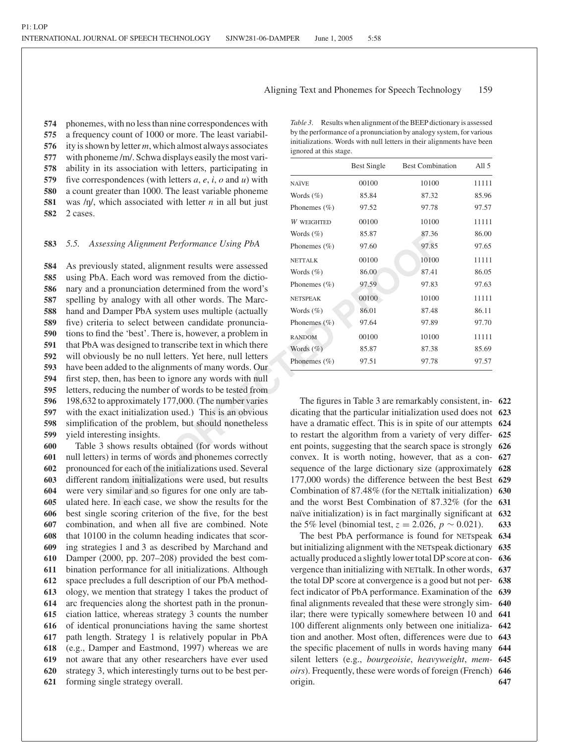ignored at this stage.

*Table 3*. Results when alignment of the BEEP dictionary is assessed by the performance of a pronunciation by analogy system, for various initializations. Words with null letters in their alignments have been

 phonemes, with no less than nine correspondences with a frequency count of 1000 or more. The least variabil- ity is shown by letter *m*, which almost always associates with phoneme /m/. Schwa displays easily the most vari- ability in its association with letters, participating in five correspondences (with letters *a*, *e*, *i*, *o* and *u*) with a count greater than 1000. The least variable phoneme was  $/n/$ , which associated with letter *n* in all but just **582** 2 cases.

#### **583** *5.5. Assessing Alignment Performance Using PbA*

*Ung Alignment Performance Using PbA*<br> *Words* (*%*) 85.87<br>
27.66 9 stated, alignment results were assessed<br>
BEGREEN AMETALIK<br>
EERO NOT WAS EXECTED WORKS<br>
EERO NOT WAS ETTAILS WERE MEXALIK 20100 10100<br>
EERO NOT WE all othe As previously stated, alignment results were assessed using PbA. Each word was removed from the dictio- nary and a pronunciation determined from the word's spelling by analogy with all other words. The Marc- hand and Damper PbA system uses multiple (actually five) criteria to select between candidate pronuncia- tions to find the 'best'. There is, however, a problem in that PbA was designed to transcribe text in which there will obviously be no null letters. Yet here, null letters have been added to the alignments of many words. Our first step, then, has been to ignore any words with null letters, reducing the number of words to be tested from 198,632 to approximately 177,000. (The number varies with the exact initialization used.) This is an obvious simplification of the problem, but should nonetheless yield interesting insights.

 Table 3 shows results obtained (for words without null letters) in terms of words and phonemes correctly pronounced for each of the initializations used. Several different random initializations were used, but results were very similar and so figures for one only are tab- ulated here. In each case, we show the results for the best single scoring criterion of the five, for the best combination, and when all five are combined. Note that 10100 in the column heading indicates that scor- ing strategies 1 and 3 as described by Marchand and Damper (2000, pp. 207–208) provided the best com- bination performance for all initializations. Although space precludes a full description of our PbA method- ology, we mention that strategy 1 takes the product of arc frequencies along the shortest path in the pronun- ciation lattice, whereas strategy 3 counts the number of identical pronunciations having the same shortest path length. Strategy 1 is relatively popular in PbA (e.g., Damper and Eastmond, 1997) whereas we are not aware that any other researchers have ever used strategy 3, which interestingly turns out to be best per-forming single strategy overall.

|                  | <b>Best Single</b> | <b>Best Combination</b> | All 5 |
|------------------|--------------------|-------------------------|-------|
| <b>NATVE</b>     | 00100              | 10100                   | 11111 |
| Words $(\%)$     | 85.84              | 87.32                   | 85.96 |
| Phonemes $(\% )$ | 97.52              | 97.78                   | 97.57 |
| W WEIGHTED       | 00100              | 10100                   | 11111 |
| Words $(\% )$    | 85.87              | 87.36                   | 86.00 |
| Phonemes $(\% )$ | 97.60              | 97.85                   | 97.65 |
| <b>NETTALK</b>   | 00100              | 10100                   | 11111 |
| Words $(\% )$    | 86.00              | 87.41                   | 86.05 |
| Phonemes $(\% )$ | 97.59              | 97.83                   | 97.63 |
| <b>NETSPEAK</b>  | 00100              | 10100                   | 11111 |
| Words $(\%)$     | 86.01              | 87.48                   | 86.11 |
| Phonemes $(\% )$ | 97.64              | 97.89                   | 97.70 |
| <b>RANDOM</b>    | 00100              | 10100                   | 11111 |
| Words $(\% )$    | 85.87              | 87.38                   | 85.69 |
| Phonemes $(\% )$ | 97.51              | 97.78                   | 97.57 |
|                  |                    |                         |       |

The figures in Table 3 are remarkably consistent, in- **622** dicating that the particular initialization used does not **623** have a dramatic effect. This is in spite of our attempts **624** to restart the algorithm from a variety of very differ- **625** ent points, suggesting that the search space is strongly **626** convex. It is worth noting, however, that as a con- **627** sequence of the large dictionary size (approximately **628** 177,000 words) the difference between the best Best **629** Combination of 87.48% (for the NETtalk initialization) **630** and the worst Best Combination of 87.32% (for the **631** naïve initialization) is in fact marginally significant at 632 the 5% level (binomial test,  $z = 2.026$ ,  $p \sim 0.021$ ). **633** 

The best PbA performance is found for NETspeak **634** but initializing alignment with the NETspeak dictionary **635** actually produced a slightly lower total DP score at con- **636** vergence than initializing with NETtalk. In other words, **637** the total DP score at convergence is a good but not per- **638** fect indicator of PbA performance. Examination of the **639** final alignments revealed that these were strongly sim- **640** ilar; there were typically somewhere between 10 and **641** 100 different alignments only between one initializa- **642** tion and another. Most often, differences were due to **643** the specific placement of nulls in words having many **644** silent letters (e.g., *bourgeoisie*, *heavyweight*, *mem-* **645** *oirs*). Frequently, these were words of foreign (French) **646** origin. **647**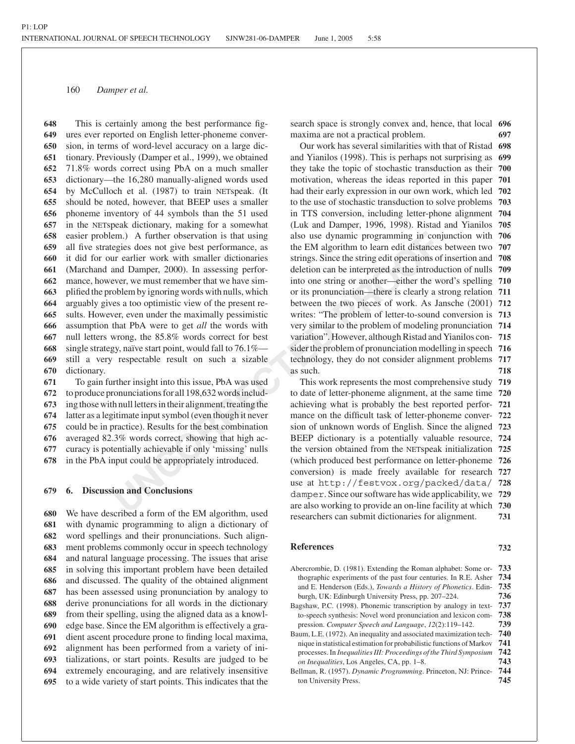m.) A further observation is that using<br>
also use dynamic programming in congings does not give best performance, as<br>
the EM algorithm to learn edit distances<br>
tre radiier work with smaller dictionaries<br>
strings. Since the This is certainly among the best performance fig- ures ever reported on English letter-phoneme conver- sion, in terms of word-level accuracy on a large dic- tionary. Previously (Damper et al., 1999), we obtained 71.8% words correct using PbA on a much smaller dictionary—the 16,280 manually-aligned words used by McCulloch et al. (1987) to train NETspeak. (It should be noted, however, that BEEP uses a smaller phoneme inventory of 44 symbols than the 51 used in the NETspeak dictionary, making for a somewhat easier problem.) A further observation is that using all five strategies does not give best performance, as it did for our earlier work with smaller dictionaries (Marchand and Damper, 2000). In assessing perfor- mance, however, we must remember that we have sim- plified the problem by ignoring words with nulls, which arguably gives a too optimistic view of the present re- sults. However, even under the maximally pessimistic assumption that PbA were to get *all* the words with null letters wrong, the 85.8% words correct for best single strategy, naïve start point, would fall to 76.1%— still a very respectable result on such a sizable dictionary.

 To gain further insight into this issue, PbA was used to produce pronunciations for all 198,632 words includ- ing those with null letters in their alignment, treating the latter as a legitimate input symbol (even though it never could be in practice). Results for the best combination averaged 82.3% words correct, showing that high ac- curacy is potentially achievable if only 'missing' nulls in the PbA input could be appropriately introduced.

#### **679 6. Discussion and Conclusions**

 We have described a form of the EM algorithm, used with dynamic programming to align a dictionary of word spellings and their pronunciations. Such align- ment problems commonly occur in speech technology and natural language processing. The issues that arise in solving this important problem have been detailed and discussed. The quality of the obtained alignment has been assessed using pronunciation by analogy to derive pronunciations for all words in the dictionary from their spelling, using the aligned data as a knowl- edge base. Since the EM algorithm is effectively a gra- dient ascent procedure prone to finding local maxima, alignment has been performed from a variety of ini- tializations, or start points. Results are judged to be extremely encouraging, and are relatively insensitive to a wide variety of start points. This indicates that the search space is strongly convex and, hence, that local **696** maxima are not a practical problem. **697**

Our work has several similarities with that of Ristad **698** and Yianilos (1998). This is perhaps not surprising as **699** they take the topic of stochastic transduction as their **700** motivation, whereas the ideas reported in this paper **701** had their early expression in our own work, which led **702** to the use of stochastic transduction to solve problems **703** in TTS conversion, including letter-phone alignment **704** (Luk and Damper, 1996, 1998). Ristad and Yianilos **705** also use dynamic programming in conjunction with **706** the EM algorithm to learn edit distances between two **707** strings. Since the string edit operations of insertion and **708** deletion can be interpreted as the introduction of nulls **709** into one string or another—either the word's spelling **710** or its pronunciation—there is clearly a strong relation **711** between the two pieces of work. As Jansche (2001) **712** writes: "The problem of letter-to-sound conversion is **713** very similar to the problem of modeling pronunciation **714** variation". However, although Ristad and Yianilos con- **715** sider the problem of pronunciation modelling in speech **716** technology, they do not consider alignment problems **717** as such. **718**

This work represents the most comprehensive study **719** to date of letter-phoneme alignment, at the same time **720** achieving what is probably the best reported perfor- **721** mance on the difficult task of letter-phoneme conver- **722** sion of unknown words of English. Since the aligned **723** BEEP dictionary is a potentially valuable resource, **724** the version obtained from the NETspeak initialization **725** (which produced best performance on letter-phoneme **726** conversion) is made freely available for research **727** use at http://festvox.org/packed/data/ **728** damper. Since our software has wide applicability, we **729** are also working to provide an on-line facility at which **730** researchers can submit dictionaries for alignment. **731**

#### **References 732**

| Abercrombie, D. (1981). Extending the Roman alphabet: Some or-            | 733 |
|---------------------------------------------------------------------------|-----|
| thographic experiments of the past four centuries. In R.E. Asher          | 734 |
| and E. Henderson (Eds.), Towards a History of Phonetics. Edin-            | 735 |
| burgh, UK: Edinburgh University Press, pp. 207–224.                       | 736 |
| Bagshaw, P.C. (1998). Phonemic transcription by analogy in text-          | 737 |
| to-speech synthesis: Novel word pronunciation and lexicon com-            | 738 |
| pression. Computer Speech and Language, 12(2):119-142.                    | 739 |
| Baum, L.E. (1972). An inequality and associated maximization tech-        | 740 |
| nique in statistical estimation for probabilistic functions of Markov     | 741 |
| processes. In <i>Inequalities III: Proceedings of the Third Symposium</i> | 742 |
| on Inequalities, Los Angeles, CA, pp. 1–8.                                | 743 |
| Bellman, R. (1957). Dynamic Programming. Princeton, NJ: Prince-           | 744 |
| ton University Press.                                                     | 745 |
|                                                                           |     |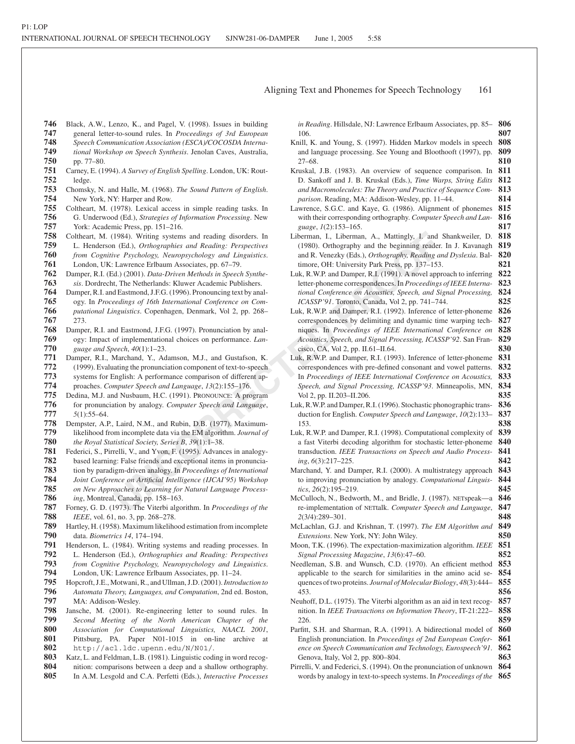## Aligning Text and Phonemes for Speech Technology 161

- **746** Black, A.W., Lenzo, K., and Pagel, V. (1998). Issues in building
- **747** general letter-to-sound rules. In *Proceedings of 3rd European* **748** *Speech Communication Association (ESCA)/COCOSDA Interna-*
- **749** *tional Workshop on Speech Synthesis*. Jenolan Caves, Australia,
- **750** pp. 77–80. **751** Carney, E. (1994). *A Survey of English Spelling*. London, UK: Rout-
- **752** ledge. **753** Chomsky, N. and Halle, M. (1968). *The Sound Pattern of English*.
- **754** New York, NY: Harper and Row.
- **755** Coltheart, M. (1978). Lexical access in simple reading tasks. In **756** G. Underwood (Ed.), *Strategies of Information Processing*. New **757** York: Academic Press, pp. 151–216.
- **758** Coltheart, M. (1984). Writing systems and reading disorders. In **759** L. Henderson (Ed.), *Orthographies and Reading: Perspectives*
- **760** *from Cognitive Psychology, Neuropsychology and Linguistics*. **761** London, UK: Lawrence Erlbaum Associates, pp. 67–79.
- **762** Damper, R.I. (Ed.) (2001). *Data-Driven Methods in Speech Synthe-***763** *sis*. Dordrecht, The Netherlands: Kluwer Academic Publishers.
- **764** Damper, R.I. and Eastmond, J.F.G. (1996). Pronouncing text by anal-**765** ogy. In *Proceedings of 16th International Conference on Com-***766** *putational Linguistics*. Copenhagen, Denmark, Vol 2, pp. 268– **767** 273.
- **768** Damper, R.I. and Eastmond, J.F.G. (1997). Pronunciation by anal-**769** ogy: Impact of implementational choices on performance. *Lan-***770** *guage and Speech*, *40*(1):1–23.
- **771** Damper, R.I., Marchand, Y., Adamson, M.J., and Gustafson, K. **772** (1999). Evaluating the pronunciation component of text-to-speech **773** systems for English: A performance comparison of different ap-**774** proaches. *Computer Speech and Language*, *13*(2):155–176.
- **775** Dedina, M.J. and Nusbaum, H.C. (1991). PRONOUNCE: A program
- **776** for pronunciation by analogy. *Computer Speech and Language*, **777** *5*(1):55–64.
- **778** Dempster, A.P., Laird, N.M., and Rubin, D.B. (1977). Maximum-**779** likelihood from incomplete data via the EM algorithm. *Journal of* **780** *the Royal Statistical Society, Series B*, *39*(1):1–38.
- **781** Federici, S., Pirrelli, V., and Yvon, F. (1995). Advances in analogy-**782** based learning: False friends and exceptional items in pronuncia-**783** tion by paradigm-driven analogy. In *Proceedings of International*
- **784** *Joint Conference on Artificial Intelligence (IJCAI'95) Workshop* **785** *on New Approaches to Learning for Natural Language Process-*
- **786** *ing*, Montreal, Canada, pp. 158–163. **787** Forney, G. D. (1973). The Viterbi algorithm. In *Proceedings of the*
- **788** *IEEE*, vol. 61, no. 3, pp. 268–278.
- **789** Hartley, H. (1958). Maximum likelihood estimation from incomplete **790** data. *Biometrics 14*, 174–194.
- **791** Henderson, L. (1984). Writing systems and reading processes. In **792** L. Henderson (Ed.), *Orthographies and Reading: Perspectives*
- **793** *from Cognitive Psychology, Neuropsychology and Linguistics*. **794** London, UK: Lawrence Erlbaum Associates, pp. 11–24.
- **795** Hopcroft, J.E., Motwani, R., and Ullman, J.D. (2001).*Introduction to* **796** *Automata Theory, Languages, and Computation*, 2nd ed. Boston, **797** MA: Addison-Wesley.
- **798** Jansche, M. (2001). Re-engineering letter to sound rules. In
- **799** *Second Meeting of the North American Chapter of the*
- **800** *Association for Computational Linguistics, NAACL 2001*, **801** Pittsburg, PA. Paper N01-1015 in on-line archive at **802** http://acl.ldc.upenn.edu/N/N01/.
- **803** Katz, L. and Feldman, L.B. (1981). Linguistic coding in word recog-
- **804** nition: comparisons between a deep and a shallow orthography.
- **805** In A.M. Lesgold and C.A. Perfetti (Eds.), *Interactive Processes*

*in Reading*. Hillsdale, NJ: Lawrence Erlbaum Associates, pp. 85– **806** 106. **807**

- Knill, K. and Young, S. (1997). Hidden Markov models in speech **808** and language processing. See Young and Bloothooft (1997), pp. **809** 27–68. **810**
- Kruskal, J.B. (1983). An overview of sequence comparison. In **811** D. Sankoff and J. B. Kruskal (Eds.), *Time Warps, String Edits* **812** *and Macromolecules: The Theory and Practice of Sequence Com-* **813** *parison*. Reading, MA: Addison-Wesley, pp. 11–44. **814**
- Lawrence, S.G.C. and Kaye, G. (1986). Alignment of phonemes **815** with their corresponding orthography. *Computer Speech and Lan-* **816** *guage*, *1*(2):153–165. **817**
- Liberman, I., Liberman, A., Mattingly, I. and Shankweiler, D. **818** (1980). Orthography and the beginning reader. In J. Kavanagh **819** and R. Venezky (Eds.), *Orthography, Reading and Dyslexia*. Bal- **820** timore, OH: University Park Press, pp. 137–153. **821**
- Luk, R.W.P. and Damper, R.I. (1991). A novel approach to inferring **822** letter-phoneme correspondences. In *Proceedings of IEEE Interna-* **823** *tional Conference on Acoustics, Speech, and Signal Processing,* **824** *ICASSP'91*. Toronto, Canada, Vol 2, pp. 741–744. **825**
- Luk, R.W.P. and Damper, R.I. (1992). Inference of letter-phoneme **826** correspondences by delimiting and dynamic time warping tech- **827** niques. In *Proceedings of IEEE International Conference on* **828** *Acoustics, Speech, and Signal Processing, ICASSP'92*. San Fran- **829** cisco, CA, Vol 2, pp. II.61–II.64. **830**
- **1984). Writing systems and reading disorders. In Liberman, A. Mattingy, I. and Reading the composition and Reading Prepresions (1980). Orthography and the beginning resident ever** *Psychology, Neuropsychology and Linguisti* Luk, R.W.P. and Damper, R.I. (1993). Inference of letter-phoneme **831** correspondences with pre-defined consonant and vowel patterns. **832** In *Proceedings of IEEE International Conference on Acoustics,* **833** *Speech, and Signal Processing, ICASSP'93*. Minneapolis, MN, **834** Vol 2, pp. II.203–II.206. **835**
	- Luk, R.W.P. and Damper, R.I. (1996). Stochastic phonographic trans- **836** duction for English. *Computer Speech and Language*, *10*(2):133– **837** 153. **838**
	- Luk, R.W.P. and Damper, R.I. (1998). Computational complexity of **839** a fast Viterbi decoding algorithm for stochastic letter-phoneme **840** transduction. *IEEE Transactions on Speech and Audio Process-* **841** *ing*, *6*(3):217–225. **842**
	- Marchand, Y. and Damper, R.I. (2000). A multistrategy approach **843** to improving pronunciation by analogy. *Computational Linguis-* **844** *tics*, *26*(2):195–219. **845**
	- McCulloch, N., Bedworth, M., and Bridle, J. (1987). NETspeak—a **846** re-implementation of NETtalk. *Computer Speech and Language*, **847** *2*(3/4):289–301. **848**
	- McLachlan, G.J. and Krishnan, T. (1997). *The EM Algorithm and Extensions*. New York, NY: John Wiley. **850**
	- Moon, T.K. (1996). The expectation-maximization algorithm. *IEEE* **851** *Signal Processing Magazine*, *13*(6):47–60. **852**
	- Needleman, S.B. and Wunsch, C.D. (1970). An efficient method **853** applicable to the search for similarities in the amino acid se- **854** quences of two proteins. *Journal of Molecular Biology*, *48*(3):444– **855** 453. **856**
	- Neuhoff, D.L. (1975). The Viterbi algorithm as an aid in text recog- **857** nition. In *IEEE Transactions on Information Theory*, IT-21:222– **858** 226. **859**
	- Parfitt, S.H. and Sharman, R.A. (1991). A bidirectional model of **860** English pronunciation. In *Proceedings of 2nd European Confer-* **861** *ence on Speech Communication and Technology, Eurospeech'91*. **862** Genova, Italy, Vol 2, pp. 800–804. **863**
	- Pirrelli, V. and Federici, S. (1994). On the pronunciation of unknown **864** words by analogy in text-to-speech systems. In *Proceedings of the* **865**